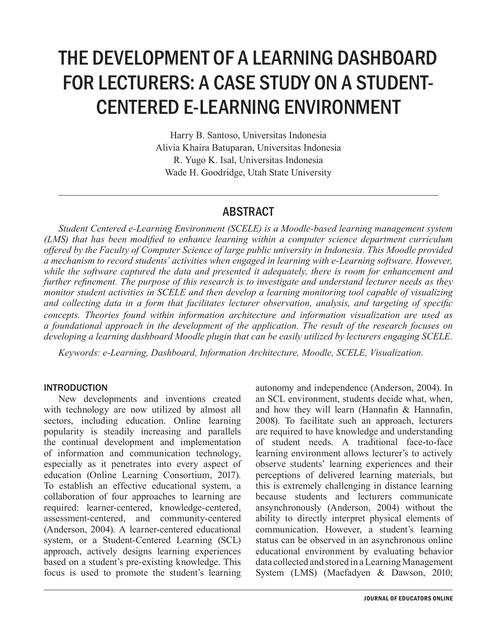# THE DEVELOPMENT OF A LEARNING DASHBOARD FOR LECTURERS: A CASE STUDY ON A STUDENT-CENTERED E-LEARNING ENVIRONMENT

Harry B. Santoso, Universitas Indonesia Alivia Khaira Batuparan, Universitas Indonesia R. Yugo K. Isal, Universitas Indonesia Wade H. Goodridge, Utah State University

# ABSTRACT

*Student Centered e-Learning Environment (SCELE) is a Moodle-based learning management system (LMS) that has been modified to enhance learning within a computer science department curriculum offered by the Faculty of Computer Science of large public university in Indonesia. This Moodle provided a mechanism to record students' activities when engaged in learning with e-Learning software. However, while the software captured the data and presented it adequately, there is room for enhancement and further refinement. The purpose of this research is to investigate and understand lecturer needs as they monitor student activities in SCELE and then develop a learning monitoring tool capable of visualizing and collecting data in a form that facilitates lecturer observation, analysis, and targeting of specific concepts. Theories found within information architecture and information visualization are used as a foundational approach in the development of the application. The result of the research focuses on developing a learning dashboard Moodle plugin that can be easily utilized by lecturers engaging SCELE.*

*Keywords: e-Learning, Dashboard, Information Architecture, Moodle, SCELE, Visualization.*

#### INTRODUCTION

New developments and inventions created with technology are now utilized by almost all sectors, including education. Online learning popularity is steadily increasing and parallels the continual development and implementation of information and communication technology, especially as it penetrates into every aspect of education (Online Learning Consortium, 2017). To establish an effective educational system, a collaboration of four approaches to learning are required: learner-centered, knowledge-centered, assessment-centered, and community-centered (Anderson, 2004). A learner-centered educational system, or a Student-Centered Learning (SCL) approach, actively designs learning experiences based on a student's pre-existing knowledge. This focus is used to promote the student's learning autonomy and independence (Anderson, 2004). In an SCL environment, students decide what, when, and how they will learn (Hannafin & Hannafin, 2008). To facilitate such an approach, lecturers are required to have knowledge and understanding of student needs. A traditional face-to-face learning environment allows lecturer's to actively observe students' learning experiences and their perceptions of delivered learning materials, but this is extremely challenging in distance learning because students and lecturers communicate ansynchronously (Anderson, 2004) without the ability to directly interpret physical elements of communication. However, a student's learning status can be observed in an asynchronous online educational environment by evaluating behavior data collected and stored in a Learning Management System (LMS) (Macfadyen & Dawson, 2010;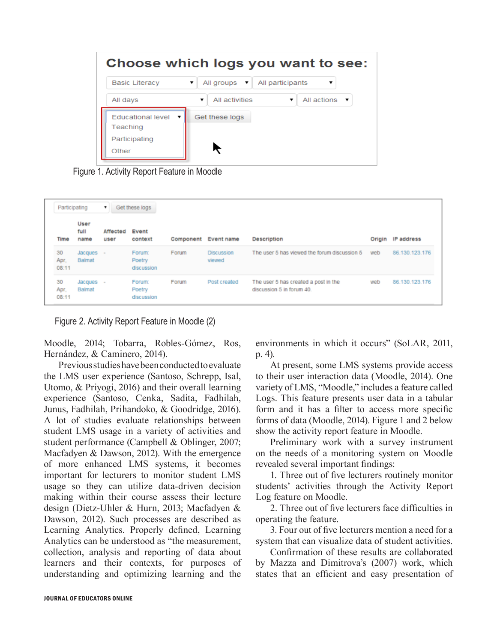

Figure 1. Activity Report Feature in Moodle

| Participating       |                      | Get these logs   |                                |           |                             |                                                                   |        |                |
|---------------------|----------------------|------------------|--------------------------------|-----------|-----------------------------|-------------------------------------------------------------------|--------|----------------|
| Time                | User<br>full<br>name | Affected<br>user | Event<br>context               | Component | <b>Event name</b>           | <b>Description</b>                                                | Origin | IP address     |
| 30<br>Apr.<br>08:11 | Jacques<br>Balmat    | $\sim$           | Forum:<br>Poetry<br>discussion | Forum     | <b>Discussion</b><br>viewed | The user 5 has viewed the forum discussion 5                      | web    | 86.130.123.176 |
| 30<br>Apr.<br>08:11 | Jacques<br>Balmat    |                  | Forum:<br>Poetry<br>discussion | Forum     | Post created                | The user 5 has created a post in the<br>discussion 5 in forum 40. | web    | 86.130.123.176 |

Figure 2. Activity Report Feature in Moodle (2)

Moodle, 2014; Tobarra, Robles-Gómez, Ros, Hernández, & Caminero, 2014).

Previous studies have been conducted to evaluate the LMS user experience (Santoso, Schrepp, Isal, Utomo, & Priyogi, 2016) and their overall learning experience (Santoso, Cenka, Sadita, Fadhilah, Junus, Fadhilah, Prihandoko, & Goodridge, 2016). A lot of studies evaluate relationships between student LMS usage in a variety of activities and student performance (Campbell & Oblinger, 2007; Macfadyen & Dawson, 2012). With the emergence of more enhanced LMS systems, it becomes important for lecturers to monitor student LMS usage so they can utilize data-driven decision making within their course assess their lecture design (Dietz-Uhler & Hurn, 2013; Macfadyen & Dawson, 2012). Such processes are described as Learning Analytics. Properly defined, Learning Analytics can be understood as "the measurement, collection, analysis and reporting of data about learners and their contexts, for purposes of understanding and optimizing learning and the

environments in which it occurs" (SoLAR, 2011, p. 4).

At present, some LMS systems provide access to their user interaction data (Moodle, 2014). One variety of LMS, "Moodle," includes a feature called Logs. This feature presents user data in a tabular form and it has a filter to access more specific forms of data (Moodle, 2014). Figure 1 and 2 below show the activity report feature in Moodle.

Preliminary work with a survey instrument on the needs of a monitoring system on Moodle revealed several important findings:

1. Three out of five lecturers routinely monitor students' activities through the Activity Report Log feature on Moodle.

2. Three out of five lecturers face difficulties in operating the feature.

3. Four out of five lecturers mention a need for a system that can visualize data of student activities.

Confirmation of these results are collaborated by Mazza and Dimitrova's (2007) work, which states that an efficient and easy presentation of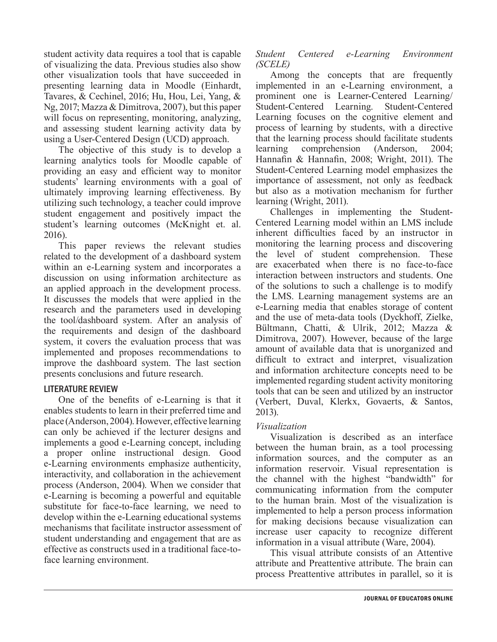student activity data requires a tool that is capable of visualizing the data. Previous studies also show other visualization tools that have succeeded in presenting learning data in Moodle (Einhardt, Tavares, & Cechinel, 2016; Hu, Hou, Lei, Yang, & Ng, 2017; Mazza & Dimitrova, 2007), but this paper will focus on representing, monitoring, analyzing, and assessing student learning activity data by using a User-Centered Design (UCD) approach.

The objective of this study is to develop a learning analytics tools for Moodle capable of providing an easy and efficient way to monitor students' learning environments with a goal of ultimately improving learning effectiveness. By utilizing such technology, a teacher could improve student engagement and positively impact the student's learning outcomes (McKnight et. al. 2016).

This paper reviews the relevant studies related to the development of a dashboard system within an e-Learning system and incorporates a discussion on using information architecture as an applied approach in the development process. It discusses the models that were applied in the research and the parameters used in developing the tool/dashboard system. After an analysis of the requirements and design of the dashboard system, it covers the evaluation process that was implemented and proposes recommendations to improve the dashboard system. The last section presents conclusions and future research.

# LITERATURE REVIEW

One of the benefits of e-Learning is that it enables students to learn in their preferred time and place (Anderson, 2004). However, effective learning can only be achieved if the lecturer designs and implements a good e-Learning concept, including a proper online instructional design. Good e-Learning environments emphasize authenticity, interactivity, and collaboration in the achievement process (Anderson, 2004). When we consider that e-Learning is becoming a powerful and equitable substitute for face-to-face learning, we need to develop within the e-Learning educational systems mechanisms that facilitate instructor assessment of student understanding and engagement that are as effective as constructs used in a traditional face-toface learning environment.

#### *Student Centered e-Learning Environment (SCELE)*

Among the concepts that are frequently implemented in an e-Learning environment, a prominent one is Learner-Centered Learning/ Student-Centered Learning. Student-Centered Learning focuses on the cognitive element and process of learning by students, with a directive that the learning process should facilitate students learning comprehension (Anderson, 2004; Hannafin & Hannafin, 2008; Wright, 2011). The Student-Centered Learning model emphasizes the importance of assessment, not only as feedback but also as a motivation mechanism for further learning (Wright, 2011).

Challenges in implementing the Student-Centered Learning model within an LMS include inherent difficulties faced by an instructor in monitoring the learning process and discovering the level of student comprehension. These are exacerbated when there is no face-to-face interaction between instructors and students. One of the solutions to such a challenge is to modify the LMS. Learning management systems are an e-Learning media that enables storage of content and the use of meta-data tools (Dyckhoff, Zielke, Bültmann, Chatti, & Ulrik, 2012; Mazza & Dimitrova, 2007). However, because of the large amount of available data that is unorganized and difficult to extract and interpret, visualization and information architecture concepts need to be implemented regarding student activity monitoring tools that can be seen and utilized by an instructor (Verbert, Duval, Klerkx, Govaerts, & Santos, 2013).

#### *Visualization*

Visualization is described as an interface between the human brain, as a tool processing information sources, and the computer as an information reservoir. Visual representation is the channel with the highest "bandwidth" for communicating information from the computer to the human brain. Most of the visualization is implemented to help a person process information for making decisions because visualization can increase user capacity to recognize different information in a visual attribute (Ware, 2004).

This visual attribute consists of an Attentive attribute and Preattentive attribute. The brain can process Preattentive attributes in parallel, so it is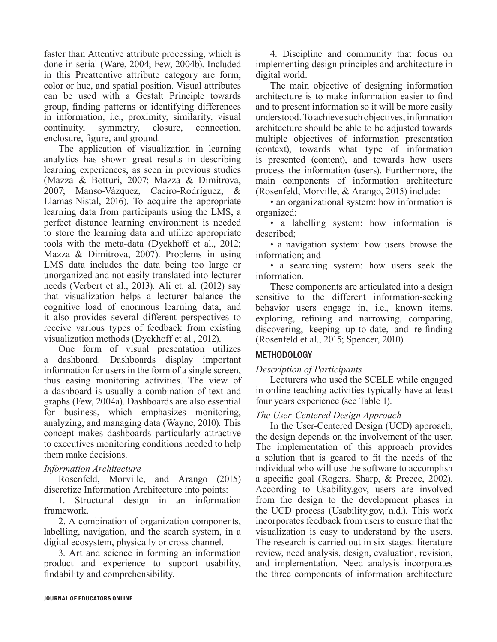faster than Attentive attribute processing, which is done in serial (Ware, 2004; Few, 2004b). Included in this Preattentive attribute category are form, color or hue, and spatial position. Visual attributes can be used with a Gestalt Principle towards group, finding patterns or identifying differences in information, i.e., proximity, similarity, visual continuity, symmetry, closure, connection, enclosure, figure, and ground.

The application of visualization in learning analytics has shown great results in describing learning experiences, as seen in previous studies (Mazza & Botturi, 2007; Mazza & Dimitrova, 2007; Manso-Vázquez, Caeiro-Rodríguez, & Llamas-Nistal, 2016). To acquire the appropriate learning data from participants using the LMS, a perfect distance learning environment is needed to store the learning data and utilize appropriate tools with the meta-data (Dyckhoff et al., 2012; Mazza & Dimitrova, 2007). Problems in using LMS data includes the data being too large or unorganized and not easily translated into lecturer needs (Verbert et al., 2013). Ali et. al. (2012) say that visualization helps a lecturer balance the cognitive load of enormous learning data, and it also provides several different perspectives to receive various types of feedback from existing visualization methods (Dyckhoff et al., 2012).

One form of visual presentation utilizes a dashboard. Dashboards display important information for users in the form of a single screen, thus easing monitoring activities. The view of a dashboard is usually a combination of text and graphs (Few, 2004a). Dashboards are also essential for business, which emphasizes monitoring, analyzing, and managing data (Wayne, 2010). This concept makes dashboards particularly attractive to executives monitoring conditions needed to help them make decisions.

# *Information Architecture*

Rosenfeld, Morville, and Arango (2015) discretize Information Architecture into points:

1. Structural design in an information framework.

2. A combination of organization components, labelling, navigation, and the search system, in a digital ecosystem, physically or cross channel.

3. Art and science in forming an information product and experience to support usability, findability and comprehensibility.

4. Discipline and community that focus on implementing design principles and architecture in digital world.

The main objective of designing information architecture is to make information easier to find and to present information so it will be more easily understood. To achieve such objectives, information architecture should be able to be adjusted towards multiple objectives of information presentation (context), towards what type of information is presented (content), and towards how users process the information (users). Furthermore, the main components of information architecture (Rosenfeld, Morville, & Arango, 2015) include:

• an organizational system: how information is organized;

• a labelling system: how information is described;

• a navigation system: how users browse the information; and

• a searching system: how users seek the information.

These components are articulated into a design sensitive to the different information-seeking behavior users engage in, i.e., known items, exploring, refining and narrowing, comparing, discovering, keeping up-to-date, and re-finding (Rosenfeld et al., 2015; Spencer, 2010).

# METHODOLOGY

# *Description of Participants*

Lecturers who used the SCELE while engaged in online teaching activities typically have at least four years experience (see Table 1).

#### *The User-Centered Design Approach*

In the User-Centered Design (UCD) approach, the design depends on the involvement of the user. The implementation of this approach provides a solution that is geared to fit the needs of the individual who will use the software to accomplish a specific goal (Rogers, Sharp, & Preece, 2002). According to Usability.gov, users are involved from the design to the development phases in the UCD process (Usability.gov, n.d.). This work incorporates feedback from users to ensure that the visualization is easy to understand by the users. The research is carried out in six stages: literature review, need analysis, design, evaluation, revision, and implementation. Need analysis incorporates the three components of information architecture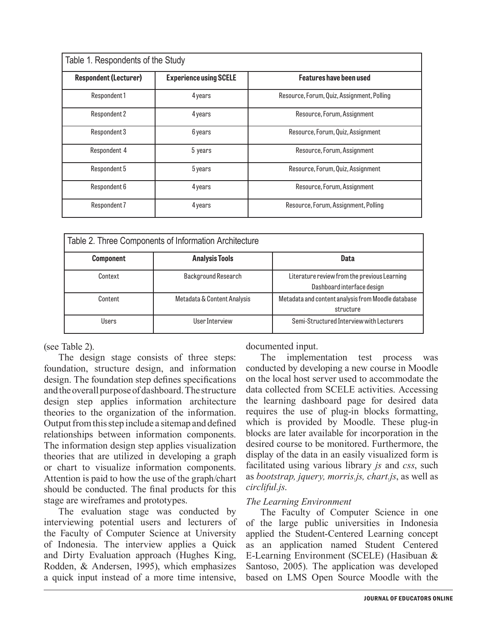| Table 1. Respondents of the Study |                               |                                            |  |  |  |  |
|-----------------------------------|-------------------------------|--------------------------------------------|--|--|--|--|
| <b>Respondent (Lecturer)</b>      | <b>Experience using SCELE</b> | Features have been used                    |  |  |  |  |
| Respondent 1                      | 4 years                       | Resource, Forum, Quiz, Assignment, Polling |  |  |  |  |
| Respondent 2                      | 4 years                       | Resource, Forum, Assignment                |  |  |  |  |
| Respondent 3                      | 6 years                       | Resource, Forum, Quiz, Assignment          |  |  |  |  |
| Respondent 4                      | 5 years                       | Resource, Forum, Assignment                |  |  |  |  |
| Respondent 5                      | 5 years                       | Resource, Forum, Quiz, Assignment          |  |  |  |  |
| Respondent 6                      | 4 years                       | Resource, Forum, Assignment                |  |  |  |  |
| Respondent 7                      | 4 years                       | Resource, Forum, Assignment, Polling       |  |  |  |  |

|                  | Table 2. Three Components of Information Architecture |                                                                            |
|------------------|-------------------------------------------------------|----------------------------------------------------------------------------|
| <b>Component</b> | <b>Analysis Tools</b>                                 | Data                                                                       |
| Context          | <b>Background Research</b>                            | Literature review from the previous Learning<br>Dashboard interface design |
| Content          | Metadata & Content Analysis                           | Metadata and content analysis from Moodle database<br>structure            |
| Users            | User Interview                                        | Semi-Structured Interview with Lecturers                                   |

(see Table 2).

The design stage consists of three steps: foundation, structure design, and information design. The foundation step defines specifications and the overall purpose of dashboard. The structure design step applies information architecture theories to the organization of the information. Output from this step include a sitemap and defined relationships between information components. The information design step applies visualization theories that are utilized in developing a graph or chart to visualize information components. Attention is paid to how the use of the graph/chart should be conducted. The final products for this stage are wireframes and prototypes.

The evaluation stage was conducted by interviewing potential users and lecturers of the Faculty of Computer Science at University of Indonesia. The interview applies a Quick and Dirty Evaluation approach (Hughes King, Rodden, & Andersen, 1995), which emphasizes a quick input instead of a more time intensive,

documented input.

The implementation test process was conducted by developing a new course in Moodle on the local host server used to accommodate the data collected from SCELE activities. Accessing the learning dashboard page for desired data requires the use of plug-in blocks formatting, which is provided by Moodle. These plug-in blocks are later available for incorporation in the desired course to be monitored. Furthermore, the display of the data in an easily visualized form is facilitated using various library *js* and *css*, such as *bootstrap, jquery, morris.js, chart.js*, as well as *circliful.js*.

# *The Learning Environment*

The Faculty of Computer Science in one of the large public universities in Indonesia applied the Student-Centered Learning concept as an application named Student Centered E-Learning Environment (SCELE) (Hasibuan & Santoso, 2005). The application was developed based on LMS Open Source Moodle with the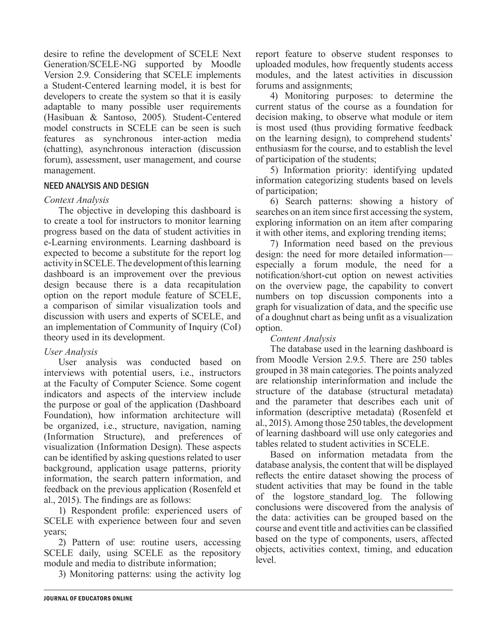desire to refine the development of SCELE Next Generation/SCELE-NG supported by Moodle Version 2.9. Considering that SCELE implements a Student-Centered learning model, it is best for developers to create the system so that it is easily adaptable to many possible user requirements (Hasibuan & Santoso, 2005). Student-Centered model constructs in SCELE can be seen is such features as synchronous inter-action media (chatting), asynchronous interaction (discussion forum), assessment, user management, and course management.

#### NEED ANALYSIS AND DESIGN

#### *Context Analysis*

The objective in developing this dashboard is to create a tool for instructors to monitor learning progress based on the data of student activities in e-Learning environments. Learning dashboard is expected to become a substitute for the report log activity in SCELE. The development of this learning dashboard is an improvement over the previous design because there is a data recapitulation option on the report module feature of SCELE, a comparison of similar visualization tools and discussion with users and experts of SCELE, and an implementation of Community of Inquiry (CoI) theory used in its development.

#### *User Analysis*

User analysis was conducted based on interviews with potential users, i.e., instructors at the Faculty of Computer Science. Some cogent indicators and aspects of the interview include the purpose or goal of the application (Dashboard Foundation), how information architecture will be organized, i.e., structure, navigation, naming (Information Structure), and preferences of visualization (Information Design). These aspects can be identified by asking questions related to user background, application usage patterns, priority information, the search pattern information, and feedback on the previous application (Rosenfeld et al., 2015). The findings are as follows:

1) Respondent profile: experienced users of SCELE with experience between four and seven years;

2) Pattern of use: routine users, accessing SCELE daily, using SCELE as the repository module and media to distribute information;

3) Monitoring patterns: using the activity log

report feature to observe student responses to uploaded modules, how frequently students access modules, and the latest activities in discussion forums and assignments;

4) Monitoring purposes: to determine the current status of the course as a foundation for decision making, to observe what module or item is most used (thus providing formative feedback on the learning design), to comprehend students' enthusiasm for the course, and to establish the level of participation of the students;

5) Information priority: identifying updated information categorizing students based on levels of participation;

6) Search patterns: showing a history of searches on an item since first accessing the system, exploring information on an item after comparing it with other items, and exploring trending items;

7) Information need based on the previous design: the need for more detailed information especially a forum module, the need for a notification/short-cut option on newest activities on the overview page, the capability to convert numbers on top discussion components into a graph for visualization of data, and the specific use of a doughnut chart as being unfit as a visualization option.

#### *Content Analysis*

The database used in the learning dashboard is from Moodle Version 2.9.5. There are 250 tables grouped in 38 main categories. The points analyzed are relationship interinformation and include the structure of the database (structural metadata) and the parameter that describes each unit of information (descriptive metadata) (Rosenfeld et al., 2015). Among those 250 tables, the development of learning dashboard will use only categories and tables related to student activities in SCELE.

Based on information metadata from the database analysis, the content that will be displayed reflects the entire dataset showing the process of student activities that may be found in the table of the logstore\_standard\_log. The following conclusions were discovered from the analysis of the data: activities can be grouped based on the course and event title and activities can be classified based on the type of components, users, affected objects, activities context, timing, and education level.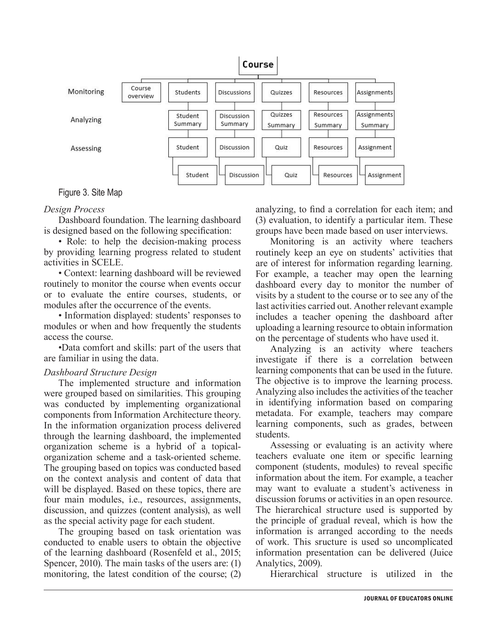

Figure 3. Site Map

#### *Design Process*

Dashboard foundation. The learning dashboard is designed based on the following specification:

• Role: to help the decision-making process by providing learning progress related to student activities in SCELE.

• Context: learning dashboard will be reviewed routinely to monitor the course when events occur or to evaluate the entire courses, students, or modules after the occurrence of the events.

• Information displayed: students' responses to modules or when and how frequently the students access the course.

•Data comfort and skills: part of the users that are familiar in using the data.

#### *Dashboard Structure Design*

The implemented structure and information were grouped based on similarities. This grouping was conducted by implementing organizational components from Information Architecture theory. In the information organization process delivered through the learning dashboard, the implemented organization scheme is a hybrid of a topicalorganization scheme and a task-oriented scheme. The grouping based on topics was conducted based on the context analysis and content of data that will be displayed. Based on these topics, there are four main modules, i.e., resources, assignments, discussion, and quizzes (content analysis), as well as the special activity page for each student.

The grouping based on task orientation was conducted to enable users to obtain the objective of the learning dashboard (Rosenfeld et al., 2015; Spencer, 2010). The main tasks of the users are: (1) monitoring, the latest condition of the course; (2)

analyzing, to find a correlation for each item; and (3) evaluation, to identify a particular item. These groups have been made based on user interviews.

Monitoring is an activity where teachers routinely keep an eye on students' activities that are of interest for information regarding learning. For example, a teacher may open the learning dashboard every day to monitor the number of visits by a student to the course or to see any of the last activities carried out. Another relevant example includes a teacher opening the dashboard after uploading a learning resource to obtain information on the percentage of students who have used it.

Analyzing is an activity where teachers investigate if there is a correlation between learning components that can be used in the future. The objective is to improve the learning process. Analyzing also includes the activities of the teacher in identifying information based on comparing metadata. For example, teachers may compare learning components, such as grades, between students.

Assessing or evaluating is an activity where teachers evaluate one item or specific learning component (students, modules) to reveal specific information about the item. For example, a teacher may want to evaluate a student's activeness in discussion forums or activities in an open resource. The hierarchical structure used is supported by the principle of gradual reveal, which is how the information is arranged according to the needs of work. This sructure is used so uncomplicated information presentation can be delivered (Juice Analytics, 2009).

Hierarchical structure is utilized in the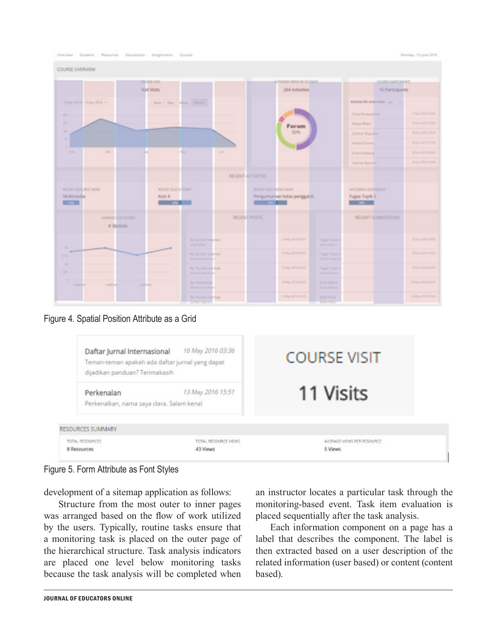

Figure 4. Spatial Position Attribute as a Grid

| Daftar Jurnal Internasional<br>dijadikan panduan? Terimakasih<br>Perkenalan<br>Perkenalkan, nama saya clara. Salam kenal | 16 May 2016 03:36<br>Teman-teman apakah ada daftar jurnal yang dapat<br>13 May 2016 15:51 | <b>COURSE VISIT</b><br>11 Visits |  |
|--------------------------------------------------------------------------------------------------------------------------|-------------------------------------------------------------------------------------------|----------------------------------|--|
| <b>RESOURCES SUMMARY</b><br>TOTAL RESOURCES                                                                              | TOTAL RESOURCE VIEWS                                                                      | AVERAGE VIEWS PER RESOURCE       |  |
| 8 Resources                                                                                                              | 43 Views                                                                                  | 5 Views                          |  |

Figure 5. Form Attribute as Font Styles

development of a sitemap application as follows:

Structure from the most outer to inner pages was arranged based on the flow of work utilized by the users. Typically, routine tasks ensure that a monitoring task is placed on the outer page of the hierarchical structure. Task analysis indicators are placed one level below monitoring tasks because the task analysis will be completed when

an instructor locates a particular task through the monitoring-based event. Task item evaluation is placed sequentially after the task analysis.

Each information component on a page has a label that describes the component. The label is then extracted based on a user description of the related information (user based) or content (content based).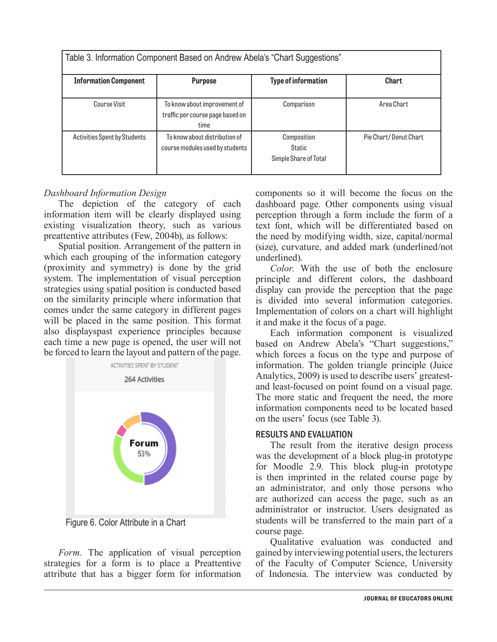|                                     | Table 3. Information Component Based on Andrew Abela's "Chart Suggestions" |                                                       |                       |
|-------------------------------------|----------------------------------------------------------------------------|-------------------------------------------------------|-----------------------|
| <b>Information Component</b>        | <b>Purpose</b>                                                             | <b>Type of information</b>                            | <b>Chart</b>          |
| <b>Course Visit</b>                 | To know about improvement of<br>traffic per course page based on<br>time   | Comparison                                            | Area Chart            |
| <b>Activities Spent by Students</b> | To know about distribution of<br>course modules used by students           | Composition<br><b>Static</b><br>Simple Share of Total | Pie Chart/Donut Chart |

#### *Dashboard Information Design*

The depiction of the category of each information item will be clearly displayed using existing visualization theory, such as various preattentive attributes (Few, 2004b), as follows:

Spatial position. Arrangement of the pattern in which each grouping of the information category (proximity and symmetry) is done by the grid system. The implementation of visual perception strategies using spatial position is conducted based on the similarity principle where information that comes under the same category in different pages will be placed in the same position. This format also displayspast experience principles because each time a new page is opened, the user will not be forced to learn the layout and pattern of the page.



Figure 6. Color Attribute in a Chart

*Form.* The application of visual perception strategies for a form is to place a Preattentive attribute that has a bigger form for information components so it will become the focus on the dashboard page. Other components using visual perception through a form include the form of a text font, which will be differentiated based on the need by modifying width, size, capital/normal (size), curvature, and added mark (underlined/not underlined).

*Color.* With the use of both the enclosure principle and different colors, the dashboard display can provide the perception that the page is divided into several information categories. Implementation of colors on a chart will highlight it and make it the focus of a page.

Each information component is visualized based on Andrew Abela's "Chart suggestions," which forces a focus on the type and purpose of information. The golden triangle principle (Juice Analytics, 2009) is used to describe users' greatestand least-focused on point found on a visual page. The more static and frequent the need, the more information components need to be located based on the users' focus (see Table 3).

#### RESULTS AND EVALUATION

The result from the iterative design process was the development of a block plug-in prototype for Moodle 2.9. This block plug-in prototype is then imprinted in the related course page by an administrator, and only those persons who are authorized can access the page, such as an administrator or instructor. Users designated as students will be transferred to the main part of a course page.

Qualitative evaluation was conducted and gained by interviewing potential users, the lecturers of the Faculty of Computer Science, University of Indonesia. The interview was conducted by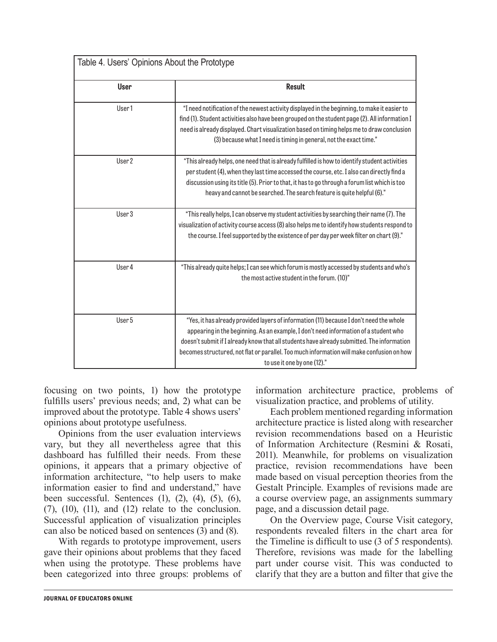| Table 4. Users' Opinions About the Prototype |                                                                                                                                                                                                                                                                                                                                                                                                           |  |  |  |  |  |
|----------------------------------------------|-----------------------------------------------------------------------------------------------------------------------------------------------------------------------------------------------------------------------------------------------------------------------------------------------------------------------------------------------------------------------------------------------------------|--|--|--|--|--|
| <b>User</b>                                  | <b>Result</b>                                                                                                                                                                                                                                                                                                                                                                                             |  |  |  |  |  |
| User1                                        | "I need notification of the newest activity displayed in the beginning, to make it easier to<br>find (1). Student activities also have been grouped on the student page (2). All information I<br>need is already displayed. Chart visualization based on timing helps me to draw conclusion<br>(3) because what I need is timing in general, not the exact time."                                        |  |  |  |  |  |
| User <sub>2</sub>                            | "This already helps, one need that is already fulfilled is how to identify student activities<br>per student (4), when they last time accessed the course, etc. I also can directly find a<br>discussion using its title (5). Prior to that, it has to go through a forum list which is too<br>heavy and cannot be searched. The search feature is quite helpful (6)."                                    |  |  |  |  |  |
| User 3                                       | "This really helps, I can observe my student activities by searching their name (7). The<br>visualization of activity course access (8) also helps me to identify how students respond to<br>the course. I feel supported by the existence of per day per week filter on chart (9)."                                                                                                                      |  |  |  |  |  |
| User 4                                       | "This already quite helps; I can see which forum is mostly accessed by students and who's<br>the most active student in the forum. (10)"                                                                                                                                                                                                                                                                  |  |  |  |  |  |
| User 5                                       | "Yes, it has already provided layers of information (11) because I don't need the whole<br>appearing in the beginning. As an example, I don't need information of a student who<br>doesn't submit if I already know that all students have already submitted. The information<br>becomes structured, not flat or parallel. Too much information will make confusion on how<br>to use it one by one (12)." |  |  |  |  |  |

focusing on two points, 1) how the prototype fulfills users' previous needs; and, 2) what can be improved about the prototype. Table 4 shows users' opinions about prototype usefulness.

Opinions from the user evaluation interviews vary, but they all nevertheless agree that this dashboard has fulfilled their needs. From these opinions, it appears that a primary objective of information architecture, "to help users to make information easier to find and understand," have been successful. Sentences (1), (2), (4), (5), (6),  $(7)$ ,  $(10)$ ,  $(11)$ , and  $(12)$  relate to the conclusion. Successful application of visualization principles can also be noticed based on sentences (3) and (8).

With regards to prototype improvement, users gave their opinions about problems that they faced when using the prototype. These problems have been categorized into three groups: problems of information architecture practice, problems of visualization practice, and problems of utility.

Each problem mentioned regarding information architecture practice is listed along with researcher revision recommendations based on a Heuristic of Information Architecture (Resmini & Rosati, 2011). Meanwhile, for problems on visualization practice, revision recommendations have been made based on visual perception theories from the Gestalt Principle. Examples of revisions made are a course overview page, an assignments summary page, and a discussion detail page.

On the Overview page, Course Visit category, respondents revealed filters in the chart area for the Timeline is difficult to use (3 of 5 respondents). Therefore, revisions was made for the labelling part under course visit. This was conducted to clarify that they are a button and filter that give the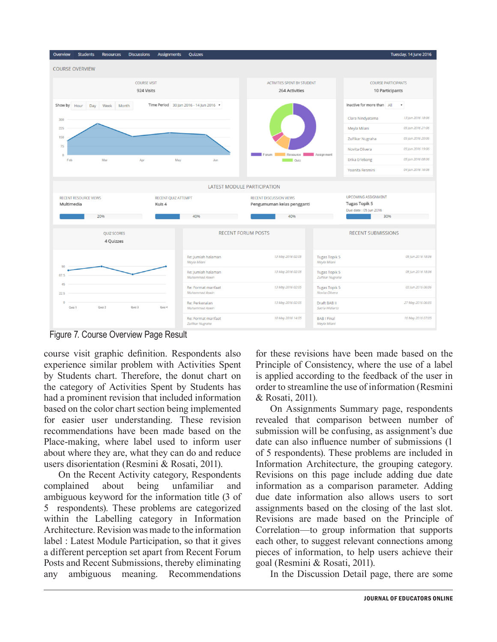

Figure 7. Course Overview Page Result

course visit graphic definition. Respondents also experience similar problem with Activities Spent by Students chart. Therefore, the donut chart on the category of Activities Spent by Students has had a prominent revision that included information based on the color chart section being implemented for easier user understanding. These revision recommendations have been made based on the Place-making, where label used to inform user about where they are, what they can do and reduce users disorientation (Resmini & Rosati, 2011).

On the Recent Activity category, Respondents complained about being unfamiliar and ambiguous keyword for the information title (3 of 5 respondents). These problems are categorized within the Labelling category in Information Architecture. Revision was made to the information label : Latest Module Participation, so that it gives a different perception set apart from Recent Forum Posts and Recent Submissions, thereby eliminating any ambiguous meaning. Recommendations

for these revisions have been made based on the Principle of Consistency, where the use of a label is applied according to the feedback of the user in order to streamline the use of information (Resmini & Rosati, 2011).

On Assignments Summary page, respondents revealed that comparison between number of submission will be confusing, as assignment's due date can also influence number of submissions (1 of 5 respondents). These problems are included in Information Architecture, the grouping category. Revisions on this page include adding due date information as a comparison parameter. Adding due date information also allows users to sort assignments based on the closing of the last slot. Revisions are made based on the Principle of Correlation—to group information that supports each other, to suggest relevant connections among pieces of information, to help users achieve their goal (Resmini & Rosati, 2011).

In the Discussion Detail page, there are some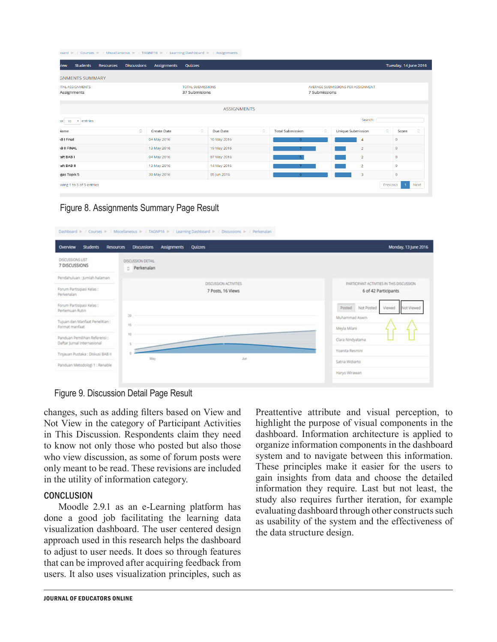|                  |                                        |                  |                    | )oard McCourses Mill Miscellaneous Mill TAGNP16 Mill Learning Dashboard Mill Assignments |                                           |                    |   |                         |               |                                    |          |                       |        |
|------------------|----------------------------------------|------------------|--------------------|------------------------------------------------------------------------------------------|-------------------------------------------|--------------------|---|-------------------------|---------------|------------------------------------|----------|-----------------------|--------|
| riew             | <b>Students</b>                        | <b>Resources</b> | <b>Discussions</b> | Assignments                                                                              | Quizzes                                   |                    |   |                         |               |                                    |          | Tuesday, 14 June 2016 |        |
|                  | <b>GNMENTS SUMMARY</b>                 |                  |                    |                                                                                          |                                           |                    |   |                         |               |                                    |          |                       |        |
|                  | <b>ITAL ASSIGNMENTS</b><br>Assignments |                  |                    |                                                                                          | <b>TOTAL SUBMISSIONS</b><br>37 Submisions |                    |   |                         | 7 Submissions | AVERAGE SUBMISSIONS PER ASSIGNMENT |          |                       |        |
|                  |                                        |                  |                    |                                                                                          |                                           | <b>ASSIGNMENTS</b> |   |                         |               |                                    |          |                       |        |
|                  | $W$ 10 $\neq$ entries                  |                  |                    |                                                                                          |                                           |                    |   |                         |               | Search:                            |          |                       |        |
| <b>Jame</b>      |                                        |                  | ۰                  | Create Date                                                                              | $\Box$                                    | Due Date           | o | <b>Total Submission</b> | $\Box$        | Unique Submission                  | $\Box$   | Score                 | $\Box$ |
| <b>BI</b> Final  |                                        |                  |                    | 04 May 2016                                                                              |                                           | 10 May 2016        |   | 9                       |               | 4                                  |          | $\mathbf 0$           |        |
| <b>BII FINAL</b> |                                        |                  |                    | 13 May 2016                                                                              |                                           | 19 May 2016        |   |                         |               | $\overline{2}$                     |          | $\circ$               |        |
| aft BAB I        |                                        |                  |                    | 04 May 2016                                                                              |                                           | 07 May 2016        |   | 5 <sub>1</sub>          |               | $\overline{2}$                     |          | $\circ$               |        |
| aft BAB II       |                                        |                  |                    | 13 May 2016                                                                              |                                           | 14 May 2016        |   |                         |               | $\overline{2}$                     |          | $\circ$               |        |
| gas Topik 5      |                                        |                  |                    | 30 May 2016                                                                              |                                           | 05 Jun 2016        |   | 9                       |               | 3                                  |          | $\circ$               |        |
|                  | wing 1 to 5 of 5 entries               |                  |                    |                                                                                          |                                           |                    |   |                         |               |                                    | Previous | $\overline{1}$        | Next   |

Figure 8. Assignments Summary Page Result

| Overview<br><b>Students</b>                                            | <b>Discussions</b><br><b>Resources</b>   | <b>Assignments</b><br><b>Quizzes</b> | Monday, 13 June 2016                                                                                            |
|------------------------------------------------------------------------|------------------------------------------|--------------------------------------|-----------------------------------------------------------------------------------------------------------------|
| DISCUSSIONS LIST<br>7 DISCUSSIONS                                      | DISCUSSION DETAIL<br><b>D</b> Perkenalan |                                      |                                                                                                                 |
| Pendahuluan : Jumlah halaman<br>Forum Partisipasi Kelas:<br>Perkenalan |                                          |                                      | PARTICIPANT ACTIVITIES IN THIS DISCUSSION<br>DISCUSSION ACTIVITIES<br>7 Posts, 16 Views<br>6 of 42 Participants |
| Forum Partisipasi Kelas:<br>Pertemuan Rutin                            | $20 -$                                   |                                      | Posted Not Posted<br>Viewed<br>Not Viewed                                                                       |
| Tujuan dan Manfaat Penelitian :<br>Format manfaat                      | 15                                       |                                      | Muhammad Aswin<br>Meyla Milani                                                                                  |
| Panduan Pemilihan Referensi :<br>Daftar Jumal Internasional            | 10                                       |                                      | Clara Nindyatama                                                                                                |
| Tinjauan Pustaka : Diskusi BAB II                                      | May                                      |                                      | Yoanita Resmini<br>Jun                                                                                          |
| Panduan Metodologi 1 : Renable                                         |                                          |                                      | Satria Widiarto                                                                                                 |
|                                                                        |                                          |                                      | Haryo Wirawan                                                                                                   |

Figure 9. Discussion Detail Page Result

changes, such as adding filters based on View and Not View in the category of Participant Activities in This Discussion. Respondents claim they need to know not only those who posted but also those who view discussion, as some of forum posts were only meant to be read. These revisions are included in the utility of information category.

#### **CONCLUSION**

Moodle 2.9.1 as an e-Learning platform has done a good job facilitating the learning data visualization dashboard. The user centered design approach used in this research helps the dashboard to adjust to user needs. It does so through features that can be improved after acquiring feedback from users. It also uses visualization principles, such as

Preattentive attribute and visual perception, to highlight the purpose of visual components in the dashboard. Information architecture is applied to organize information components in the dashboard system and to navigate between this information. These principles make it easier for the users to gain insights from data and choose the detailed information they require. Last but not least, the study also requires further iteration, for example evaluating dashboard through other constructs such as usability of the system and the effectiveness of the data structure design.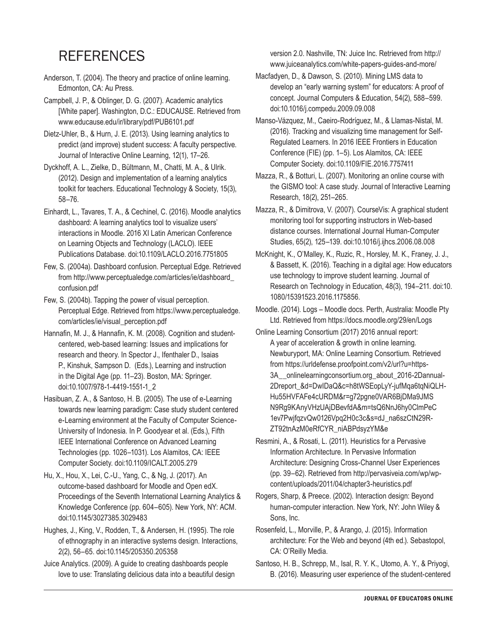# **REFERENCES**

Anderson, T. (2004). The theory and practice of online learning. Edmonton, CA: Au Press.

Campbell, J. P., & Oblinger, D. G. (2007). Academic analytics [White paper]. Washington, D.C.: EDUCAUSE. Retrieved from www.educause.edu/ir/library/pdf/PUB6101.pdf

Dietz-Uhler, B., & Hurn, J. E. (2013). Using learning analytics to predict (and improve) student success: A faculty perspective. Journal of Interactive Online Learning, 12(1), 17–26.

Dyckhoff, A. L., Zielke, D., Bültmann, M., Chatti, M. A., & Ulrik. (2012). Design and implementation of a learning analytics toolkit for teachers. Educational Technology & Society, 15(3), 58–76.

Einhardt, L., Tavares, T. A., & Cechinel, C. (2016). Moodle analytics dashboard: A learning analytics tool to visualize users' interactions in Moodle. 2016 XI Latin American Conference on Learning Objects and Technology (LACLO). IEEE Publications Database. doi:10.1109/LACLO.2016.7751805

- Few, S. (2004a). Dashboard confusion. Perceptual Edge. Retrieved from http://www.perceptualedge.com/articles/ie/dashboard\_ confusion.pdf
- Few, S. (2004b). Tapping the power of visual perception. Perceptual Edge. Retrieved from https://www.perceptualedge. com/articles/ie/visual\_perception.pdf
- Hannafin, M. J., & Hannafin, K. M. (2008). Cognition and studentcentered, web-based learning: Issues and implications for research and theory. In Spector J., Ifenthaler D., Isaias P., Kinshuk, Sampson D. (Eds.), Learning and instruction in the Digital Age (pp. 11–23). Boston, MA: Springer. doi:10.1007/978-1-4419-1551-1\_2
- Hasibuan, Z. A., & Santoso, H. B. (2005). The use of e-Learning towards new learning paradigm: Case study student centered e-Learning environment at the Faculty of Computer Science-University of Indonesia. In P. Goodyear et al. (Eds.), Fifth IEEE International Conference on Advanced Learning Technologies (pp. 1026–1031). Los Alamitos, CA: IEEE Computer Society. doi:10.1109/ICALT.2005.279
- Hu, X., Hou, X., Lei, C.-U., Yang, C., & Ng, J. (2017). An outcome-based dashboard for Moodle and Open edX. Proceedings of the Seventh International Learning Analytics & Knowledge Conference (pp. 604–605). New York, NY: ACM. doi:10.1145/3027385.3029483
- Hughes, J., King, V., Rodden, T., & Andersen, H. (1995). The role of ethnography in an interactive systems design. Interactions, 2(2), 56–65. doi:10.1145/205350.205358
- Juice Analytics. (2009). A guide to creating dashboards people love to use: Translating delicious data into a beautiful design

version 2.0. Nashville, TN: Juice Inc. Retrieved from http:// www.juiceanalytics.com/white-papers-guides-and-more/

- Macfadyen, D., & Dawson, S. (2010). Mining LMS data to develop an "early warning system" for educators: A proof of concept. Journal Computers & Education, 54(2), 588–599. doi:10.1016/j.compedu.2009.09.008
- Manso-Vázquez, M., Caeiro-Rodríguez, M., & Llamas-Nistal, M. (2016). Tracking and visualizing time management for Self-Regulated Learners. In 2016 IEEE Frontiers in Education Conference (FIE) (pp. 1–5). Los Alamitos, CA: IEEE Computer Society. doi:10.1109/FIE.2016.7757411

Mazza, R., & Botturi, L. (2007). Monitoring an online course with the GISMO tool: A case study. Journal of Interactive Learning Research, 18(2), 251–265.

Mazza, R., & Dimitrova, V. (2007). CourseVis: A graphical student monitoring tool for supporting instructors in Web-based distance courses. International Journal Human-Computer Studies, 65(2), 125–139. doi:10.1016/j.ijhcs.2006.08.008

- McKnight, K., O'Malley, K., Ruzic, R., Horsley, M. K., Franey, J. J., & Bassett, K. (2016). Teaching in a digital age: How educators use technology to improve student learning. Journal of Research on Technology in Education, 48(3), 194–211. doi:10. 1080/15391523.2016.1175856.
- Moodle. (2014). Logs Moodle docs. Perth, Australia: Moodle Pty Ltd. Retrieved from https://docs.moodle.org/29/en/Logs
- Online Learning Consortium (2017) 2016 annual report: A year of acceleration & growth in online learning. Newburyport, MA: Online Learning Consortium. Retrieved from https://urldefense.proofpoint.com/v2/url?u=https-3A\_\_onlinelearningconsortium.org\_about\_2016-2Dannual-2Dreport\_&d=DwIDaQ&c=h8tWSEopLyY-jufMqa6tqNiQLH-Hu55HVFAFe4cURDM&r=g72pgne0VAR6BjDMa9JMS N9Rg9KAnyVHzUAjDBevfdA&m=tsQ6NnJ6hy0ClmPeC 1ev7PwjfqzvQw0126Vpq2H0c3c&s=dJ\_na6szCtN29R-ZT92tnAzM0eRfCYR\_niABPdsyzYM&e

Resmini, A., & Rosati, L. (2011). Heuristics for a Pervasive Information Architecture. In Pervasive Information Architecture: Designing Cross-Channel User Experiences (pp. 39–62). Retrieved from http://pervasiveia.com/wp/wpcontent/uploads/2011/04/chapter3-heuristics.pdf

Rogers, Sharp, & Preece. (2002). Interaction design: Beyond human-computer interaction. New York, NY: John Wiley & Sons, Inc.

- Rosenfeld, L., Morville, P., & Arango, J. (2015). Information architecture: For the Web and beyond (4th ed.). Sebastopol, CA: O'Reilly Media.
- Santoso, H. B., Schrepp, M., Isal, R. Y. K., Utomo, A. Y., & Priyogi, B. (2016). Measuring user experience of the student-centered